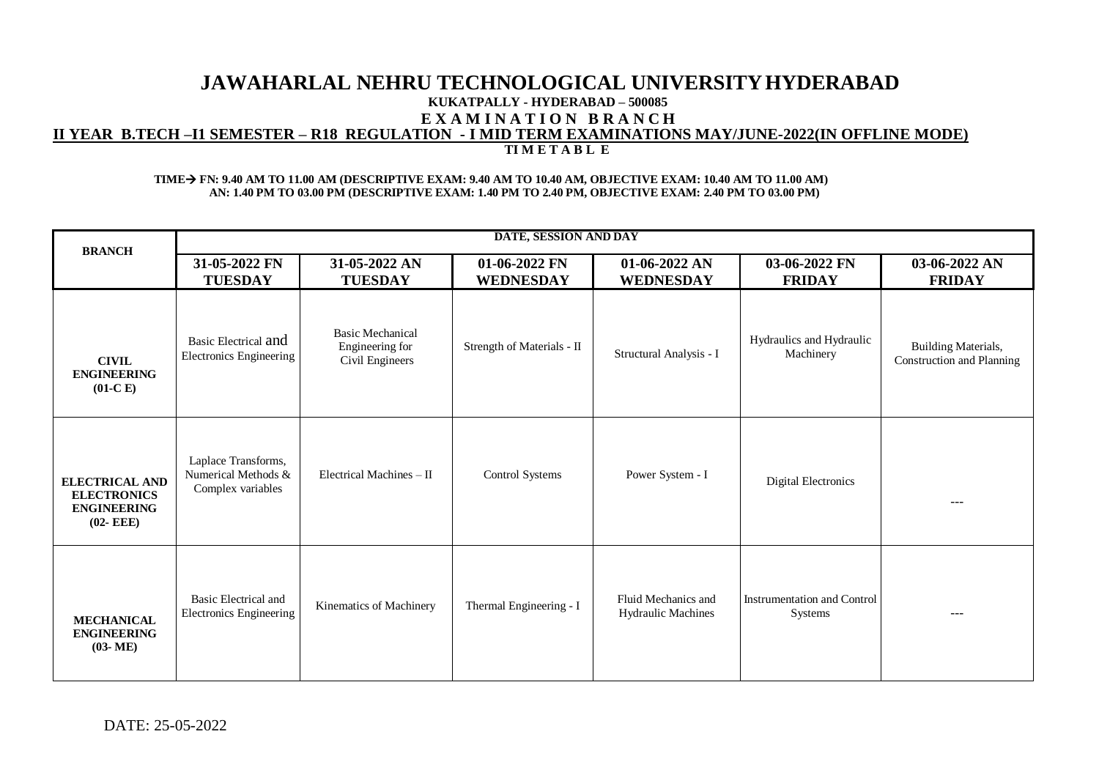## **JAWAHARLAL NEHRU TECHNOLOGICAL UNIVERSITYHYDERABAD KUKATPALLY - HYDERABAD – 500085 E X A M I N A T I O N B R A N C H II YEAR B.TECH –I1 SEMESTER – R18 REGULATION - I MID TERM EXAMINATIONS MAY/JUNE-2022(IN OFFLINE MODE) TI M E T A B L E**

### **TIMEFN: 9.40 AM TO 11.00 AM (DESCRIPTIVE EXAM: 9.40 AM TO 10.40 AM, OBJECTIVE EXAM: 10.40 AM TO 11.00 AM) AN: 1.40 PM TO 03.00 PM (DESCRIPTIVE EXAM: 1.40 PM TO 2.40 PM, OBJECTIVE EXAM: 2.40 PM TO 03.00 PM)**

| <b>BRANCH</b>                                                                     | DATE, SESSION AND DAY                                           |                                                               |                                   |                                           |                                               |                                                         |  |
|-----------------------------------------------------------------------------------|-----------------------------------------------------------------|---------------------------------------------------------------|-----------------------------------|-------------------------------------------|-----------------------------------------------|---------------------------------------------------------|--|
|                                                                                   | 31-05-2022 FN<br><b>TUESDAY</b>                                 | 31-05-2022 AN<br><b>TUESDAY</b>                               | 01-06-2022 FN<br><b>WEDNESDAY</b> | 01-06-2022 AN<br><b>WEDNESDAY</b>         | 03-06-2022 FN<br><b>FRIDAY</b>                | 03-06-2022 AN<br><b>FRIDAY</b>                          |  |
| <b>CIVIL</b><br><b>ENGINEERING</b><br>$(01-C)$                                    | Basic Electrical and<br>Electronics Engineering                 | <b>Basic Mechanical</b><br>Engineering for<br>Civil Engineers | Strength of Materials - II        | Structural Analysis - I                   | Hydraulics and Hydraulic<br>Machinery         | <b>Building Materials,</b><br>Construction and Planning |  |
| <b>ELECTRICAL AND</b><br><b>ELECTRONICS</b><br><b>ENGINEERING</b><br>$(02 - EEE)$ | Laplace Transforms,<br>Numerical Methods &<br>Complex variables | Electrical Machines $-$ II                                    | <b>Control Systems</b>            | Power System - I                          | Digital Electronics                           | ---                                                     |  |
| <b>MECHANICAL</b><br><b>ENGINEERING</b><br>$(03-ME)$                              | Basic Electrical and<br><b>Electronics Engineering</b>          | Kinematics of Machinery                                       | Thermal Engineering - I           | Fluid Mechanics and<br>Hydraulic Machines | <b>Instrumentation and Control</b><br>Systems | $\frac{1}{2}$                                           |  |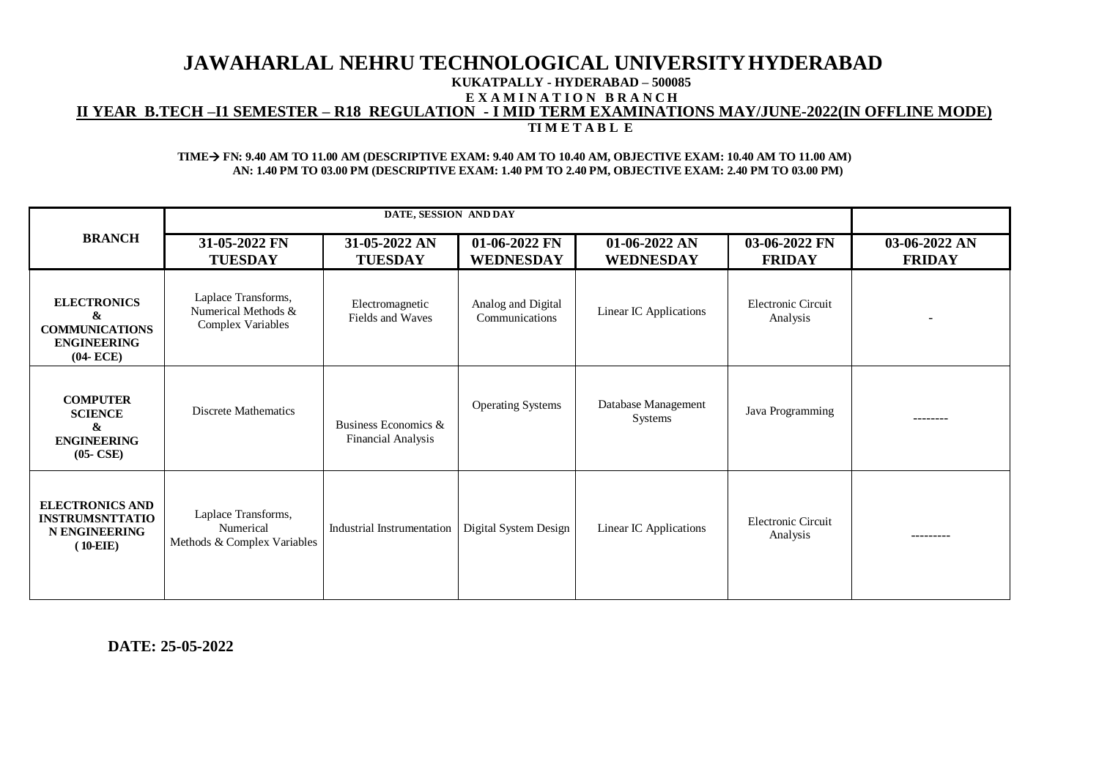## **JAWAHARLAL NEHRU TECHNOLOGICAL UNIVERSITYHYDERABAD KUKATPALLY - HYDERABAD – 500085 E X A M I N A T I O N B R A N C H II YEAR B.TECH –I1 SEMESTER – R18 REGULATION - I MID TERM EXAMINATIONS MAY/JUNE-2022(IN OFFLINE MODE) TI M E T A B L E**

#### **TIMEFN: 9.40 AM TO 11.00 AM (DESCRIPTIVE EXAM: 9.40 AM TO 10.40 AM, OBJECTIVE EXAM: 10.40 AM TO 11.00 AM) AN: 1.40 PM TO 03.00 PM (DESCRIPTIVE EXAM: 1.40 PM TO 2.40 PM, OBJECTIVE EXAM: 2.40 PM TO 03.00 PM)**

| <b>BRANCH</b>                                                                          | 31-05-2022 FN<br><b>TUESDAY</b>                                 | 31-05-2022 AN<br><b>TUESDAY</b>                   | 01-06-2022 FN<br>WEDNESDAY           | $01-06-2022$ AN<br><b>WEDNESDAY</b>   | 03-06-2022 FN<br><b>FRIDAY</b>        | 03-06-2022 AN<br><b>FRIDAY</b> |
|----------------------------------------------------------------------------------------|-----------------------------------------------------------------|---------------------------------------------------|--------------------------------------|---------------------------------------|---------------------------------------|--------------------------------|
| <b>ELECTRONICS</b><br>&<br><b>COMMUNICATIONS</b><br><b>ENGINEERING</b><br>$(04 - ECE)$ | Laplace Transforms,<br>Numerical Methods &<br>Complex Variables | Electromagnetic<br>Fields and Waves               | Analog and Digital<br>Communications | Linear IC Applications                | Electronic Circuit<br>Analysis        |                                |
| <b>COMPUTER</b><br><b>SCIENCE</b><br>&<br><b>ENGINEERING</b><br>$(05-CSE)$             | Discrete Mathematics                                            | Business Economics &<br><b>Financial Analysis</b> | <b>Operating Systems</b>             | Database Management<br><b>Systems</b> | Java Programming                      |                                |
| <b>ELECTRONICS AND</b><br><b>INSTRUMSNTTATIO</b><br><b>N ENGINEERING</b><br>$(10-EIE)$ | Laplace Transforms,<br>Numerical<br>Methods & Complex Variables | Industrial Instrumentation                        | Digital System Design                | Linear IC Applications                | <b>Electronic Circuit</b><br>Analysis |                                |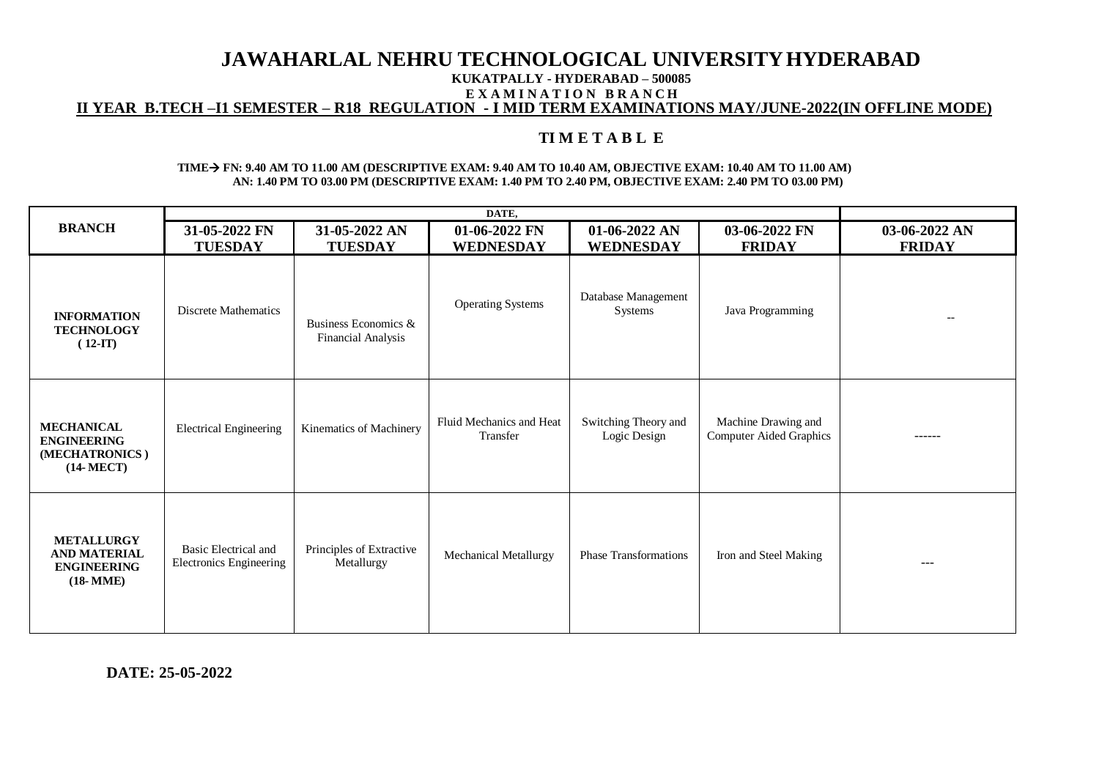# **JAWAHARLAL NEHRU TECHNOLOGICAL UNIVERSITYHYDERABAD**

**KUKATPALLY - HYDERABAD – 500085** 

**E X A M I N A T I O N B R A N C H**

**II YEAR B.TECH –I1 SEMESTER – R18 REGULATION - I MID TERM EXAMINATIONS MAY/JUNE-2022(IN OFFLINE MODE)**

# **TI M E T A B L E**

### **TIMEFN: 9.40 AM TO 11.00 AM (DESCRIPTIVE EXAM: 9.40 AM TO 10.40 AM, OBJECTIVE EXAM: 10.40 AM TO 11.00 AM) AN: 1.40 PM TO 03.00 PM (DESCRIPTIVE EXAM: 1.40 PM TO 2.40 PM, OBJECTIVE EXAM: 2.40 PM TO 03.00 PM)**

|                                                                                   | DATE,                                                  |                                                   |                                      |                                      |                                                       |                          |
|-----------------------------------------------------------------------------------|--------------------------------------------------------|---------------------------------------------------|--------------------------------------|--------------------------------------|-------------------------------------------------------|--------------------------|
| <b>BRANCH</b>                                                                     | 31-05-2022 FN                                          | 31-05-2022 AN                                     | 01-06-2022 FN                        | $01-06-2022$ AN                      | 03-06-2022 FN                                         | 03-06-2022 AN            |
|                                                                                   | <b>TUESDAY</b>                                         | <b>TUESDAY</b>                                    | <b>WEDNESDAY</b>                     | <b>WEDNESDAY</b>                     | <b>FRIDAY</b>                                         | <b>FRIDAY</b>            |
| <b>INFORMATION</b><br><b>TECHNOLOGY</b><br>$(12-TT)$                              | <b>Discrete Mathematics</b>                            | Business Economics &<br><b>Financial Analysis</b> | <b>Operating Systems</b>             | Database Management<br>Systems       | Java Programming                                      | $\overline{\phantom{a}}$ |
| <b>MECHANICAL</b><br><b>ENGINEERING</b><br>(MECHATRONICS)<br>$(14 \text{-} MECT)$ | <b>Electrical Engineering</b>                          | Kinematics of Machinery                           | Fluid Mechanics and Heat<br>Transfer | Switching Theory and<br>Logic Design | Machine Drawing and<br><b>Computer Aided Graphics</b> | ------                   |
| <b>METALLURGY</b><br><b>AND MATERIAL</b><br><b>ENGINEERING</b><br>$(18-MME)$      | <b>Basic Electrical and</b><br>Electronics Engineering | Principles of Extractive<br>Metallurgy            | Mechanical Metallurgy                | <b>Phase Transformations</b>         | Iron and Steel Making                                 | $- - -$                  |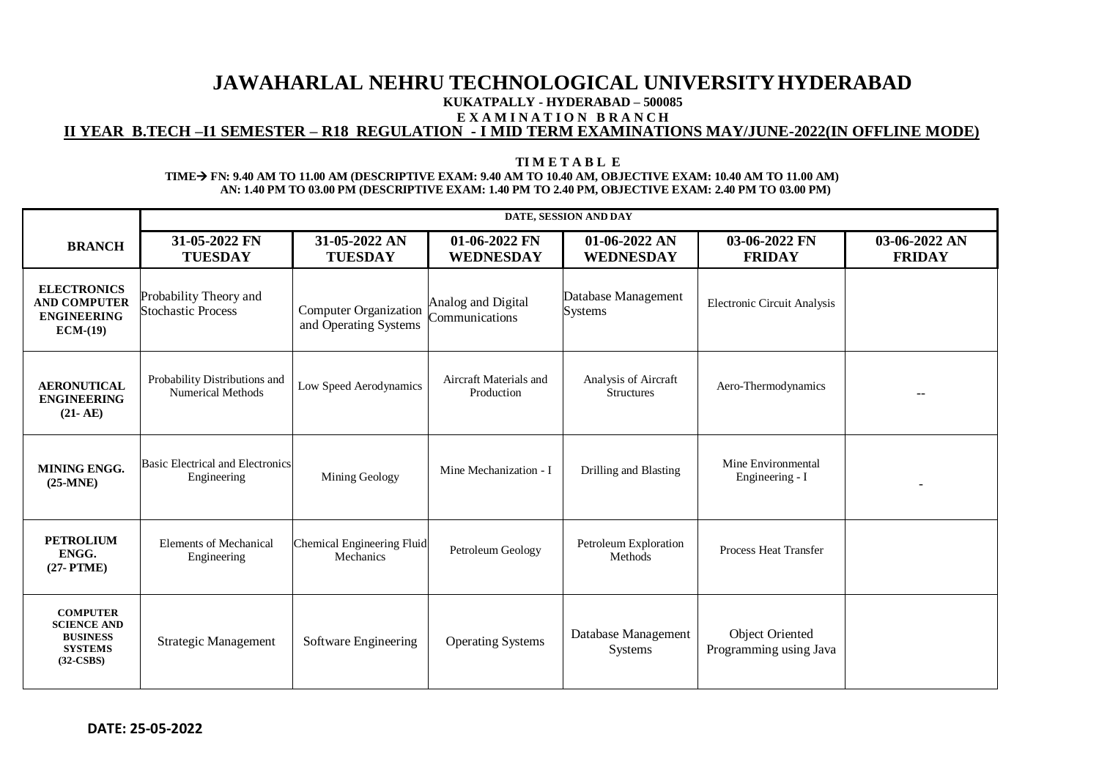# **JAWAHARLAL NEHRU TECHNOLOGICAL UNIVERSITYHYDERABAD KUKATPALLY - HYDERABAD – 500085 E X A M I N A T I O N B R A N C H II YEAR B.TECH –I1 SEMESTER – R18 REGULATION - I MID TERM EXAMINATIONS MAY/JUNE-2022(IN OFFLINE MODE)**

### **TI M E T A B L E TIMEFN: 9.40 AM TO 11.00 AM (DESCRIPTIVE EXAM: 9.40 AM TO 10.40 AM, OBJECTIVE EXAM: 10.40 AM TO 11.00 AM) AN: 1.40 PM TO 03.00 PM (DESCRIPTIVE EXAM: 1.40 PM TO 2.40 PM, OBJECTIVE EXAM: 2.40 PM TO 03.00 PM)**

|                                                                                           | DATE, SESSION AND DAY                                     |                                                       |                                      |                                           |                                           |                                |  |
|-------------------------------------------------------------------------------------------|-----------------------------------------------------------|-------------------------------------------------------|--------------------------------------|-------------------------------------------|-------------------------------------------|--------------------------------|--|
| <b>BRANCH</b>                                                                             | 31-05-2022 FN<br><b>TUESDAY</b>                           | 31-05-2022 AN<br><b>TUESDAY</b>                       | 01-06-2022 FN<br><b>WEDNESDAY</b>    | 01-06-2022 AN<br><b>WEDNESDAY</b>         | 03-06-2022 FN<br><b>FRIDAY</b>            | 03-06-2022 AN<br><b>FRIDAY</b> |  |
| <b>ELECTRONICS</b><br><b>AND COMPUTER</b><br><b>ENGINEERING</b><br>$ECM-(19)$             | Probability Theory and<br><b>Stochastic Process</b>       | <b>Computer Organization</b><br>and Operating Systems | Analog and Digital<br>Communications | Database Management<br><b>Systems</b>     | <b>Electronic Circuit Analysis</b>        |                                |  |
| <b>AERONUTICAL</b><br><b>ENGINEERING</b><br>$(21 - AE)$                                   | Probability Distributions and<br><b>Numerical Methods</b> | Low Speed Aerodynamics                                | Aircraft Materials and<br>Production | Analysis of Aircraft<br><b>Structures</b> | Aero-Thermodynamics                       |                                |  |
| <b>MINING ENGG.</b><br>$(25-MNE)$                                                         | <b>Basic Electrical and Electronics</b><br>Engineering    | Mining Geology                                        | Mine Mechanization - I               | Drilling and Blasting                     | Mine Environmental<br>Engineering - I     |                                |  |
| <b>PETROLIUM</b><br>ENGG.<br>$(27-PTME)$                                                  | <b>Elements of Mechanical</b><br>Engineering              | Chemical Engineering Fluid<br>Mechanics               | Petroleum Geology                    | Petroleum Exploration<br>Methods          | <b>Process Heat Transfer</b>              |                                |  |
| <b>COMPUTER</b><br><b>SCIENCE AND</b><br><b>BUSINESS</b><br><b>SYSTEMS</b><br>$(32-CSBS)$ | <b>Strategic Management</b>                               | Software Engineering                                  | <b>Operating Systems</b>             | Database Management<br>Systems            | Object Oriented<br>Programming using Java |                                |  |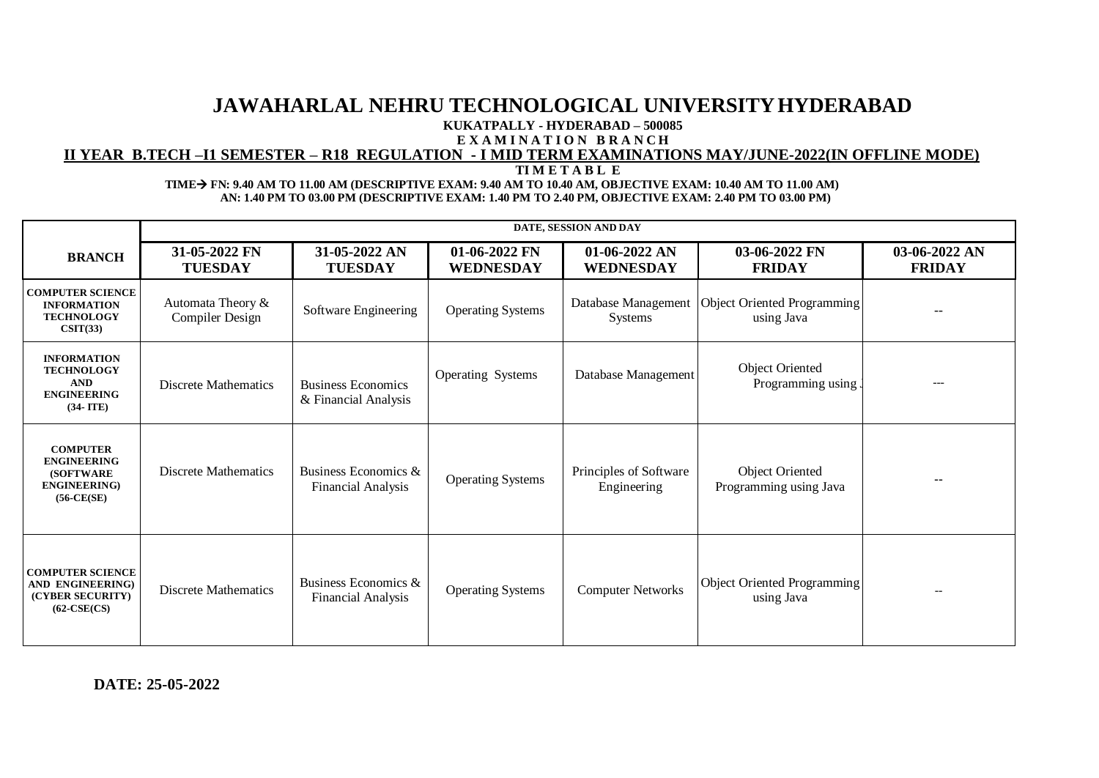# **JAWAHARLAL NEHRU TECHNOLOGICAL UNIVERSITYHYDERABAD KUKATPALLY - HYDERABAD – 500085**

**E X A M I N A T I O N B R A N C H**

# **II YEAR B.TECH –I1 SEMESTER – R18 REGULATION - I MID TERM EXAMINATIONS MAY/JUNE-2022(IN OFFLINE MODE)**

 **TI M E T A B L E**

### **TIMEFN: 9.40 AM TO 11.00 AM (DESCRIPTIVE EXAM: 9.40 AM TO 10.40 AM, OBJECTIVE EXAM: 10.40 AM TO 11.00 AM) AN: 1.40 PM TO 03.00 PM (DESCRIPTIVE EXAM: 1.40 PM TO 2.40 PM, OBJECTIVE EXAM: 2.40 PM TO 03.00 PM)**

|                                                                                                     | DATE, SESSION AND DAY                       |                                                   |                                   |                                       |                                              |                                |  |
|-----------------------------------------------------------------------------------------------------|---------------------------------------------|---------------------------------------------------|-----------------------------------|---------------------------------------|----------------------------------------------|--------------------------------|--|
| <b>BRANCH</b>                                                                                       | 31-05-2022 FN<br><b>TUESDAY</b>             | 31-05-2022 AN<br><b>TUESDAY</b>                   | 01-06-2022 FN<br><b>WEDNESDAY</b> | $01-06-2022$ AN<br><b>WEDNESDAY</b>   | 03-06-2022 FN<br><b>FRIDAY</b>               | 03-06-2022 AN<br><b>FRIDAY</b> |  |
| <b>COMPUTER SCIENCE</b><br><b>INFORMATION</b><br><b>TECHNOLOGY</b><br>CSIT(33)                      | Automata Theory &<br><b>Compiler Design</b> | Software Engineering                              | <b>Operating Systems</b>          | Database Management<br>Systems        | Object Oriented Programming<br>using Java    | $- -$                          |  |
| <b>INFORMATION</b><br><b>TECHNOLOGY</b><br><b>AND</b><br><b>ENGINEERING</b><br>$(34-ITE)$           | <b>Discrete Mathematics</b>                 | <b>Business Economics</b><br>& Financial Analysis | <b>Operating Systems</b>          | Database Management                   | <b>Object Oriented</b><br>Programming using. |                                |  |
| <b>COMPUTER</b><br><b>ENGINEERING</b><br><b>(SOFTWARE)</b><br><b>ENGINEERING</b> )<br>$(56-CE(SE))$ | <b>Discrete Mathematics</b>                 | Business Economics &<br>Financial Analysis        | <b>Operating Systems</b>          | Principles of Software<br>Engineering | Object Oriented<br>Programming using Java    |                                |  |
| <b>COMPUTER SCIENCE</b><br>AND ENGINEERING)<br>(CYBER SECURITY)<br>$(62-CSE(CS)$                    | <b>Discrete Mathematics</b>                 | Business Economics &<br><b>Financial Analysis</b> | <b>Operating Systems</b>          | <b>Computer Networks</b>              | Object Oriented Programming<br>using Java    |                                |  |